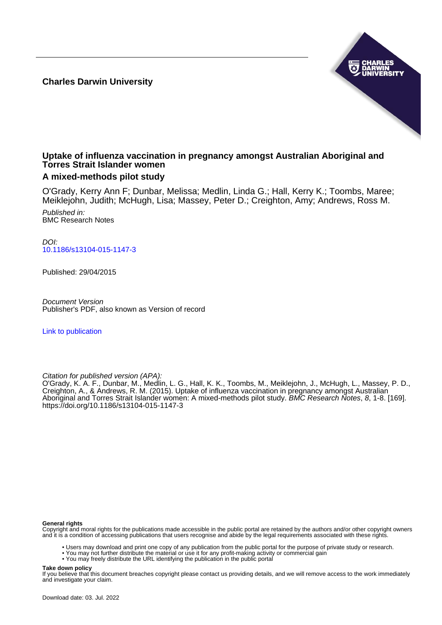**Charles Darwin University**



# **Uptake of influenza vaccination in pregnancy amongst Australian Aboriginal and Torres Strait Islander women**

# **A mixed-methods pilot study**

O'Grady, Kerry Ann F; Dunbar, Melissa; Medlin, Linda G.; Hall, Kerry K.; Toombs, Maree; Meiklejohn, Judith; McHugh, Lisa; Massey, Peter D.; Creighton, Amy; Andrews, Ross M.

Published in: BMC Research Notes

DOI: [10.1186/s13104-015-1147-3](https://doi.org/10.1186/s13104-015-1147-3)

Published: 29/04/2015

Document Version Publisher's PDF, also known as Version of record

[Link to publication](https://researchers.cdu.edu.au/en/publications/c440dbb6-d85f-4699-af53-0ec1083a1673)

Citation for published version (APA):

O'Grady, K. A. F., Dunbar, M., Medlin, L. G., Hall, K. K., Toombs, M., Meiklejohn, J., McHugh, L., Massey, P. D., Creighton, A., & Andrews, R. M. (2015). Uptake of influenza vaccination in pregnancy amongst Australian Aboriginal and Torres Strait Islander women: A mixed-methods pilot study. BMC Research Notes, 8, 1-8. [169]. <https://doi.org/10.1186/s13104-015-1147-3>

#### **General rights**

Copyright and moral rights for the publications made accessible in the public portal are retained by the authors and/or other copyright owners and it is a condition of accessing publications that users recognise and abide by the legal requirements associated with these rights.

- Users may download and print one copy of any publication from the public portal for the purpose of private study or research.
- You may not further distribute the material or use it for any profit-making activity or commercial gain
- You may freely distribute the URL identifying the publication in the public portal

#### **Take down policy**

If you believe that this document breaches copyright please contact us providing details, and we will remove access to the work immediately and investigate your claim.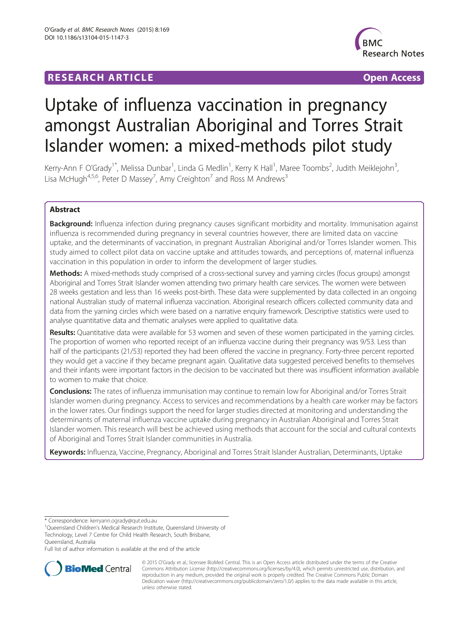# **RESEARCH ARTICLE Example 2014 12:30 The SEAR CH ACCESS**



# Uptake of influenza vaccination in pregnancy amongst Australian Aboriginal and Torres Strait Islander women: a mixed-methods pilot study

Kerry-Ann F O'Grady<sup>1\*</sup>, Melissa Dunbar<sup>1</sup>, Linda G Medlin<sup>1</sup>, Kerry K Hall<sup>1</sup>, Maree Toombs<sup>2</sup>, Judith Meiklejohn<sup>3</sup> , Lisa McHugh<sup>4,5,6</sup>, Peter D Massey<sup>7</sup>, Amy Creighton<sup>7</sup> and Ross M Andrews<sup>3</sup>

# Abstract

Background: Influenza infection during pregnancy causes significant morbidity and mortality. Immunisation against influenza is recommended during pregnancy in several countries however, there are limited data on vaccine uptake, and the determinants of vaccination, in pregnant Australian Aboriginal and/or Torres Islander women. This study aimed to collect pilot data on vaccine uptake and attitudes towards, and perceptions of, maternal influenza vaccination in this population in order to inform the development of larger studies.

Methods: A mixed-methods study comprised of a cross-sectional survey and yarning circles (focus groups) amongst Aboriginal and Torres Strait Islander women attending two primary health care services. The women were between 28 weeks gestation and less than 16 weeks post-birth. These data were supplemented by data collected in an ongoing national Australian study of maternal influenza vaccination. Aboriginal research officers collected community data and data from the yarning circles which were based on a narrative enquiry framework. Descriptive statistics were used to analyse quantitative data and thematic analyses were applied to qualitative data.

Results: Quantitative data were available for 53 women and seven of these women participated in the yarning circles. The proportion of women who reported receipt of an influenza vaccine during their pregnancy was 9/53. Less than half of the participants (21/53) reported they had been offered the vaccine in pregnancy. Forty-three percent reported they would get a vaccine if they became pregnant again. Qualitative data suggested perceived benefits to themselves and their infants were important factors in the decision to be vaccinated but there was insufficient information available to women to make that choice.

**Conclusions:** The rates of influenza immunisation may continue to remain low for Aboriginal and/or Torres Strait Islander women during pregnancy. Access to services and recommendations by a health care worker may be factors in the lower rates. Our findings support the need for larger studies directed at monitoring and understanding the determinants of maternal influenza vaccine uptake during pregnancy in Australian Aboriginal and Torres Strait Islander women. This research will best be achieved using methods that account for the social and cultural contexts of Aboriginal and Torres Strait Islander communities in Australia.

Keywords: Influenza, Vaccine, Pregnancy, Aboriginal and Torres Strait Islander Australian, Determinants, Uptake

\* Correspondence: [kerryann.ogrady@qut.edu.au](mailto:kerryann.ogrady@qut.edu.au) <sup>1</sup>

Full list of author information is available at the end of the article



© 2015 O'Grady et al.; licensee BioMed Central. This is an Open Access article distributed under the terms of the Creative Commons Attribution License [\(http://creativecommons.org/licenses/by/4.0\)](http://creativecommons.org/licenses/by/4.0), which permits unrestricted use, distribution, and reproduction in any medium, provided the original work is properly credited. The Creative Commons Public Domain Dedication waiver [\(http://creativecommons.org/publicdomain/zero/1.0/](http://creativecommons.org/publicdomain/zero/1.0/)) applies to the data made available in this article, unless otherwise stated.

<sup>&</sup>lt;sup>1</sup>Queensland Children's Medical Research Institute, Queensland University of Technology, Level 7 Centre for Child Health Research, South Brisbane, Queensland, Australia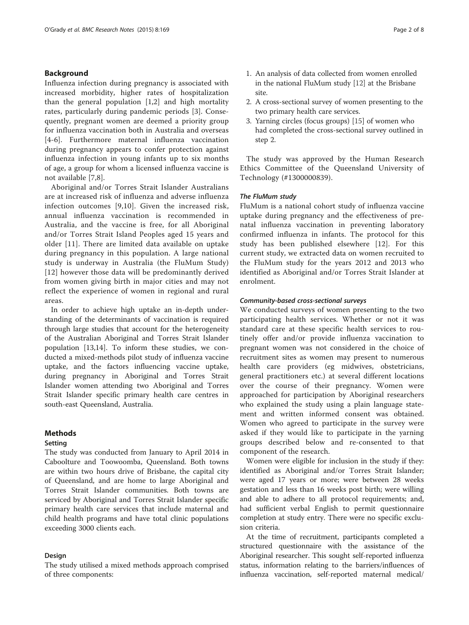# Background

Influenza infection during pregnancy is associated with increased morbidity, higher rates of hospitalization than the general population [[1,2](#page-8-0)] and high mortality rates, particularly during pandemic periods [[3\]](#page-8-0). Consequently, pregnant women are deemed a priority group for influenza vaccination both in Australia and overseas [[4-6\]](#page-8-0). Furthermore maternal influenza vaccination during pregnancy appears to confer protection against influenza infection in young infants up to six months of age, a group for whom a licensed influenza vaccine is not available [[7,8\]](#page-8-0).

Aboriginal and/or Torres Strait Islander Australians are at increased risk of influenza and adverse influenza infection outcomes [\[9](#page-8-0),[10](#page-8-0)]. Given the increased risk, annual influenza vaccination is recommended in Australia, and the vaccine is free, for all Aboriginal and/or Torres Strait Island Peoples aged 15 years and older [[11](#page-8-0)]. There are limited data available on uptake during pregnancy in this population. A large national study is underway in Australia (the FluMum Study) [[12](#page-8-0)] however those data will be predominantly derived from women giving birth in major cities and may not reflect the experience of women in regional and rural areas.

In order to achieve high uptake an in-depth understanding of the determinants of vaccination is required through large studies that account for the heterogeneity of the Australian Aboriginal and Torres Strait Islander population [\[13,14](#page-8-0)]. To inform these studies, we conducted a mixed-methods pilot study of influenza vaccine uptake, and the factors influencing vaccine uptake, during pregnancy in Aboriginal and Torres Strait Islander women attending two Aboriginal and Torres Strait Islander specific primary health care centres in south-east Queensland, Australia.

# **Methods**

#### Setting

The study was conducted from January to April 2014 in Caboolture and Toowoomba, Queensland. Both towns are within two hours drive of Brisbane, the capital city of Queensland, and are home to large Aboriginal and Torres Strait Islander communities. Both towns are serviced by Aboriginal and Torres Strait Islander specific primary health care services that include maternal and child health programs and have total clinic populations exceeding 3000 clients each.

#### Design

The study utilised a mixed methods approach comprised of three components:

- 1. An analysis of data collected from women enrolled in the national FluMum study [[12](#page-8-0)] at the Brisbane site.
- 2. A cross-sectional survey of women presenting to the two primary health care services.
- 3. Yarning circles (focus groups) [\[15\]](#page-8-0) of women who had completed the cross-sectional survey outlined in step 2.

The study was approved by the Human Research Ethics Committee of the Queensland University of Technology (#1300000839).

#### The FluMum study

FluMum is a national cohort study of influenza vaccine uptake during pregnancy and the effectiveness of prenatal influenza vaccination in preventing laboratory confirmed influenza in infants. The protocol for this study has been published elsewhere [[12\]](#page-8-0). For this current study, we extracted data on women recruited to the FluMum study for the years 2012 and 2013 who identified as Aboriginal and/or Torres Strait Islander at enrolment.

# Community-based cross-sectional surveys

We conducted surveys of women presenting to the two participating health services. Whether or not it was standard care at these specific health services to routinely offer and/or provide influenza vaccination to pregnant women was not considered in the choice of recruitment sites as women may present to numerous health care providers (eg midwives, obstetricians, general practitioners etc.) at several different locations over the course of their pregnancy. Women were approached for participation by Aboriginal researchers who explained the study using a plain language statement and written informed consent was obtained. Women who agreed to participate in the survey were asked if they would like to participate in the yarning groups described below and re-consented to that component of the research.

Women were eligible for inclusion in the study if they: identified as Aboriginal and/or Torres Strait Islander; were aged 17 years or more; were between 28 weeks gestation and less than 16 weeks post birth; were willing and able to adhere to all protocol requirements; and, had sufficient verbal English to permit questionnaire completion at study entry. There were no specific exclusion criteria.

At the time of recruitment, participants completed a structured questionnaire with the assistance of the Aboriginal researcher. This sought self-reported influenza status, information relating to the barriers/influences of influenza vaccination, self-reported maternal medical/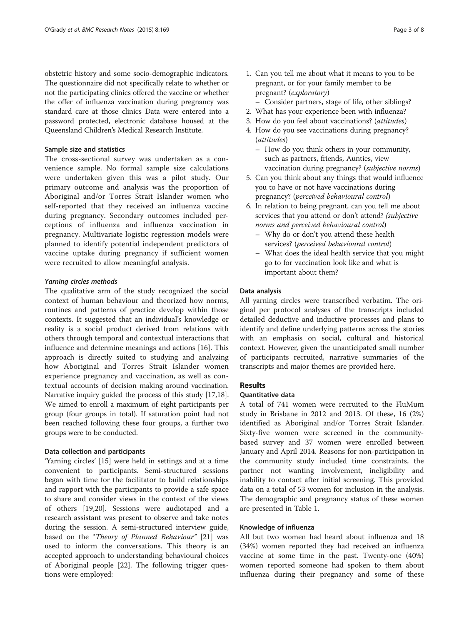obstetric history and some socio-demographic indicators. The questionnaire did not specifically relate to whether or not the participating clinics offered the vaccine or whether the offer of influenza vaccination during pregnancy was standard care at those clinics Data were entered into a password protected, electronic database housed at the Queensland Children's Medical Research Institute.

#### Sample size and statistics

The cross-sectional survey was undertaken as a convenience sample. No formal sample size calculations were undertaken given this was a pilot study. Our primary outcome and analysis was the proportion of Aboriginal and/or Torres Strait Islander women who self-reported that they received an influenza vaccine during pregnancy. Secondary outcomes included perceptions of influenza and influenza vaccination in pregnancy. Multivariate logistic regression models were planned to identify potential independent predictors of vaccine uptake during pregnancy if sufficient women were recruited to allow meaningful analysis.

#### Yarning circles methods

The qualitative arm of the study recognized the social context of human behaviour and theorized how norms, routines and patterns of practice develop within those contexts. It suggested that an individual's knowledge or reality is a social product derived from relations with others through temporal and contextual interactions that influence and determine meanings and actions [\[16](#page-8-0)]. This approach is directly suited to studying and analyzing how Aboriginal and Torres Strait Islander women experience pregnancy and vaccination, as well as contextual accounts of decision making around vaccination. Narrative inquiry guided the process of this study [\[17,18](#page-8-0)]. We aimed to enroll a maximum of eight participants per group (four groups in total). If saturation point had not been reached following these four groups, a further two groups were to be conducted.

### Data collection and participants

'Yarning circles' [\[15](#page-8-0)] were held in settings and at a time convenient to participants. Semi-structured sessions began with time for the facilitator to build relationships and rapport with the participants to provide a safe space to share and consider views in the context of the views of others [\[19,20](#page-8-0)]. Sessions were audiotaped and a research assistant was present to observe and take notes during the session. A semi-structured interview guide, based on the "Theory of Planned Behaviour" [[21](#page-8-0)] was used to inform the conversations. This theory is an accepted approach to understanding behavioural choices of Aboriginal people [[22](#page-8-0)]. The following trigger questions were employed:

- 1. Can you tell me about what it means to you to be pregnant, or for your family member to be pregnant? (exploratory)
- Consider partners, stage of life, other siblings?
- 2. What has your experience been with influenza?
- 3. How do you feel about vaccinations? (attitudes)
- 4. How do you see vaccinations during pregnancy? (attitudes)
	- How do you think others in your community, such as partners, friends, Aunties, view vaccination during pregnancy? (subjective norms)
- 5. Can you think about any things that would influence you to have or not have vaccinations during pregnancy? (perceived behavioural control)
- 6. In relation to being pregnant, can you tell me about services that you attend or don't attend? (subjective norms and perceived behavioural control)
	- Why do or don't you attend these health services? (perceived behavioural control)
	- What does the ideal health service that you might go to for vaccination look like and what is important about them?

#### Data analysis

All yarning circles were transcribed verbatim. The original per protocol analyses of the transcripts included detailed deductive and inductive processes and plans to identify and define underlying patterns across the stories with an emphasis on social, cultural and historical context. However, given the unanticipated small number of participants recruited, narrative summaries of the transcripts and major themes are provided here.

# Results

# Quantitative data

A total of 741 women were recruited to the FluMum study in Brisbane in 2012 and 2013. Of these, 16 (2%) identified as Aboriginal and/or Torres Strait Islander. Sixty-five women were screened in the communitybased survey and 37 women were enrolled between January and April 2014. Reasons for non-participation in the community study included time constraints, the partner not wanting involvement, ineligibility and inability to contact after initial screening. This provided data on a total of 53 women for inclusion in the analysis. The demographic and pregnancy status of these women are presented in Table [1.](#page-4-0)

#### Knowledge of influenza

All but two women had heard about influenza and 18 (34%) women reported they had received an influenza vaccine at some time in the past. Twenty-one (40%) women reported someone had spoken to them about influenza during their pregnancy and some of these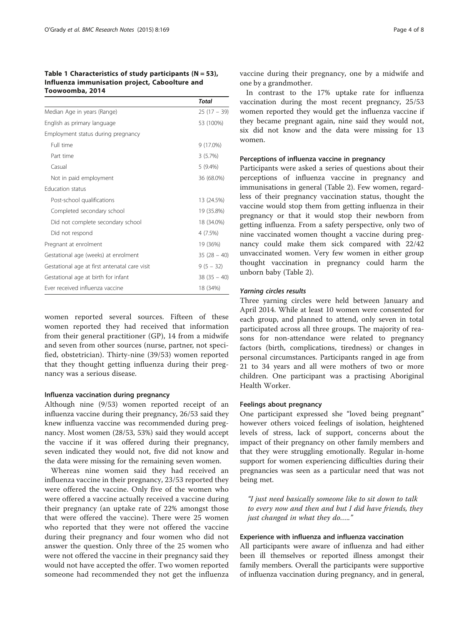# <span id="page-4-0"></span>Table 1 Characteristics of study participants  $(N = 53)$ , Influenza immunisation project, Caboolture and Toowoomba, 2014

|                                               | <b>Total</b>  |
|-----------------------------------------------|---------------|
| Median Age in years (Range)                   | $25(17 - 39)$ |
| English as primary language                   | 53 (100%)     |
| Employment status during pregnancy            |               |
| Full time                                     | $9(17.0\%)$   |
| Part time                                     | 3(5.7%)       |
| Casual                                        | $5(9.4\%)$    |
| Not in paid employment                        | 36 (68.0%)    |
| <b>Education status</b>                       |               |
| Post-school qualifications                    | 13 (24.5%)    |
| Completed secondary school                    | 19 (35.8%)    |
| Did not complete secondary school             | 18 (34.0%)    |
| Did not respond                               | 4(7.5%)       |
| Pregnant at enrolment                         | 19 (36%)      |
| Gestational age (weeks) at enrolment          | $35(28 - 40)$ |
| Gestational age at first antenatal care visit | $9(5 - 32)$   |
| Gestational age at birth for infant           | $38(35 - 40)$ |
| Ever received influenza vaccine               | 18 (34%)      |

women reported several sources. Fifteen of these women reported they had received that information from their general practitioner (GP), 14 from a midwife and seven from other sources (nurse, partner, not specified, obstetrician). Thirty-nine (39/53) women reported that they thought getting influenza during their pregnancy was a serious disease.

#### Influenza vaccination during pregnancy

Although nine (9/53) women reported receipt of an influenza vaccine during their pregnancy, 26/53 said they knew influenza vaccine was recommended during pregnancy. Most women (28/53, 53%) said they would accept the vaccine if it was offered during their pregnancy, seven indicated they would not, five did not know and the data were missing for the remaining seven women.

Whereas nine women said they had received an influenza vaccine in their pregnancy, 23/53 reported they were offered the vaccine. Only five of the women who were offered a vaccine actually received a vaccine during their pregnancy (an uptake rate of 22% amongst those that were offered the vaccine). There were 25 women who reported that they were not offered the vaccine during their pregnancy and four women who did not answer the question. Only three of the 25 women who were not offered the vaccine in their pregnancy said they would not have accepted the offer. Two women reported someone had recommended they not get the influenza

vaccine during their pregnancy, one by a midwife and one by a grandmother.

In contrast to the 17% uptake rate for influenza vaccination during the most recent pregnancy, 25/53 women reported they would get the influenza vaccine if they became pregnant again, nine said they would not, six did not know and the data were missing for 13 women.

### Perceptions of influenza vaccine in pregnancy

Participants were asked a series of questions about their perceptions of influenza vaccine in pregnancy and immunisations in general (Table [2\)](#page-5-0). Few women, regardless of their pregnancy vaccination status, thought the vaccine would stop them from getting influenza in their pregnancy or that it would stop their newborn from getting influenza. From a safety perspective, only two of nine vaccinated women thought a vaccine during pregnancy could make them sick compared with 22/42 unvaccinated women. Very few women in either group thought vaccination in pregnancy could harm the unborn baby (Table [2\)](#page-5-0).

#### Yarning circles results

Three yarning circles were held between January and April 2014. While at least 10 women were consented for each group, and planned to attend, only seven in total participated across all three groups. The majority of reasons for non-attendance were related to pregnancy factors (birth, complications, tiredness) or changes in personal circumstances. Participants ranged in age from 21 to 34 years and all were mothers of two or more children. One participant was a practising Aboriginal Health Worker.

#### Feelings about pregnancy

One participant expressed she "loved being pregnant" however others voiced feelings of isolation, heightened levels of stress, lack of support, concerns about the impact of their pregnancy on other family members and that they were struggling emotionally. Regular in-home support for women experiencing difficulties during their pregnancies was seen as a particular need that was not being met.

"I just need basically someone like to sit down to talk to every now and then and but I did have friends, they just changed in what they do….."

#### Experience with influenza and influenza vaccination

All participants were aware of influenza and had either been ill themselves or reported illness amongst their family members. Overall the participants were supportive of influenza vaccination during pregnancy, and in general,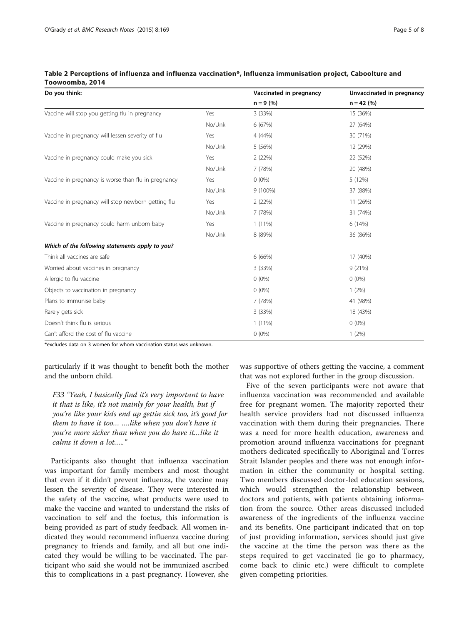| Do you think:                                       |        | Vaccinated in pregnancy | Unvaccinated in pregnancy |  |
|-----------------------------------------------------|--------|-------------------------|---------------------------|--|
|                                                     |        | $n = 9(%)$              | $n = 42$ (%)              |  |
| Vaccine will stop you getting flu in pregnancy      | Yes    | 3 (33%)                 | 15 (36%)                  |  |
|                                                     | No/Unk | 6(67%)                  | 27 (64%)                  |  |
| Vaccine in pregnancy will lessen severity of flu    | Yes    | 4 (44%)                 | 30 (71%)                  |  |
|                                                     | No/Unk | 5 (56%)                 | 12 (29%)                  |  |
| Vaccine in pregnancy could make you sick            | Yes    | 2(22%)                  | 22 (52%)                  |  |
|                                                     | No/Unk | 7 (78%)                 | 20 (48%)                  |  |
| Vaccine in pregnancy is worse than flu in pregnancy | Yes    | $0(0\%)$                | 5 (12%)                   |  |
|                                                     | No/Unk | 9 (100%)                | 37 (88%)                  |  |
| Vaccine in pregnancy will stop newborn getting flu  | Yes    | 2(22%)                  | 11 (26%)                  |  |
|                                                     | No/Unk | 7 (78%)                 | 31 (74%)                  |  |
| Vaccine in pregnancy could harm unborn baby         | Yes    | $1(11\%)$               | 6(14%)                    |  |
|                                                     | No/Unk | 8 (89%)                 | 36 (86%)                  |  |
| Which of the following statements apply to you?     |        |                         |                           |  |
| Think all vaccines are safe                         |        | 6(66%)                  | 17 (40%)                  |  |
| Worried about vaccines in pregnancy                 |        | 3 (33%)                 | 9(21%)                    |  |
| Allergic to flu vaccine                             |        | $0(0\%)$                | $0(0\%)$                  |  |
| Objects to vaccination in pregnancy                 |        | $0(0\%)$                | 1(2%)                     |  |
| Plans to immunise baby                              |        | 7 (78%)                 | 41 (98%)                  |  |
| Rarely gets sick                                    |        | 3 (33%)                 | 18 (43%)                  |  |
| Doesn't think flu is serious                        |        | $1(11\%)$               | $0(0\%)$                  |  |
| Can't afford the cost of flu vaccine                |        | $0(0\%)$                | 1(2%)                     |  |

<span id="page-5-0"></span>

|                 | Table 2 Perceptions of influenza and influenza vaccination*, Influenza immunisation project, Caboolture and |  |  |  |
|-----------------|-------------------------------------------------------------------------------------------------------------|--|--|--|
| Toowoomba, 2014 |                                                                                                             |  |  |  |

\*excludes data on 3 women for whom vaccination status was unknown.

particularly if it was thought to benefit both the mother and the unborn child.

F33 "Yeah, I basically find it's very important to have it that is like, it's not mainly for your health, but if you're like your kids end up gettin sick too, it's good for them to have it too… ….like when you don't have it you're more sicker than when you do have it…like it calms it down a lot….."

Participants also thought that influenza vaccination was important for family members and most thought that even if it didn't prevent influenza, the vaccine may lessen the severity of disease. They were interested in the safety of the vaccine, what products were used to make the vaccine and wanted to understand the risks of vaccination to self and the foetus, this information is being provided as part of study feedback. All women indicated they would recommend influenza vaccine during pregnancy to friends and family, and all but one indicated they would be willing to be vaccinated. The participant who said she would not be immunized ascribed this to complications in a past pregnancy. However, she

was supportive of others getting the vaccine, a comment that was not explored further in the group discussion.

Five of the seven participants were not aware that influenza vaccination was recommended and available free for pregnant women. The majority reported their health service providers had not discussed influenza vaccination with them during their pregnancies. There was a need for more health education, awareness and promotion around influenza vaccinations for pregnant mothers dedicated specifically to Aboriginal and Torres Strait Islander peoples and there was not enough information in either the community or hospital setting. Two members discussed doctor-led education sessions, which would strengthen the relationship between doctors and patients, with patients obtaining information from the source. Other areas discussed included awareness of the ingredients of the influenza vaccine and its benefits. One participant indicated that on top of just providing information, services should just give the vaccine at the time the person was there as the steps required to get vaccinated (ie go to pharmacy, come back to clinic etc.) were difficult to complete given competing priorities.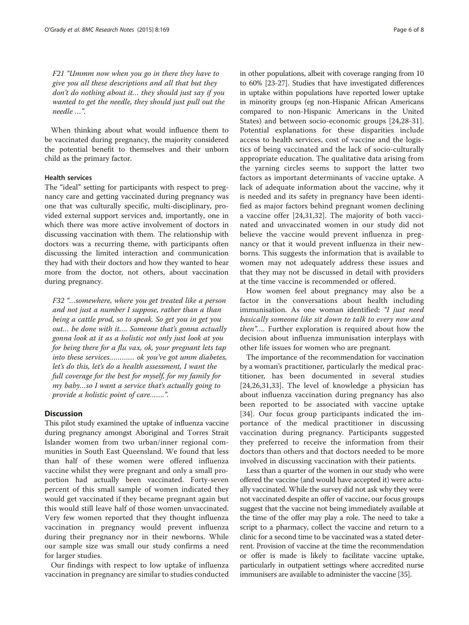F21 "Ummm now when you go in there they have to give you all these descriptions and all that but they don't do nothing about it… they should just say if you wanted to get the needle, they should just pull out the needle …".

When thinking about what would influence them to be vaccinated during pregnancy, the majority considered the potential benefit to themselves and their unborn child as the primary factor.

#### Health services

The "ideal" setting for participants with respect to pregnancy care and getting vaccinated during pregnancy was one that was culturally specific, multi-disciplinary, provided external support services and, importantly, one in which there was more active involvement of doctors in discussing vaccination with them. The relationship with doctors was a recurring theme, with participants often discussing the limited interaction and communication they had with their doctors and how they wanted to hear more from the doctor, not others, about vaccination during pregnancy.

F32 "…somewhere, where you get treated like a person and not just a number I suppose, rather than a than being a cattle prod, so to speak. So get you in get you out… be done with it…. Someone that's gonna actually gonna look at it as a holistic not only just look at you for being there for a flu vax, ok, your pregnant lets tap into these services………… ok you've got umm diabetes, let's do this, let's do a health assessment, I want the full coverage for the best for myself, for my family for my baby…so I want a service that's actually going to provide a holistic point of care…….".

#### **Discussion**

This pilot study examined the uptake of influenza vaccine during pregnancy amongst Aboriginal and Torres Strait Islander women from two urban/inner regional communities in South East Queensland. We found that less than half of these women were offered influenza vaccine whilst they were pregnant and only a small proportion had actually been vaccinated. Forty-seven percent of this small sample of women indicated they would get vaccinated if they became pregnant again but this would still leave half of those women unvaccinated. Very few women reported that they thought influenza vaccination in pregnancy would prevent influenza during their pregnancy nor in their newborns. While our sample size was small our study confirms a need for larger studies.

Our findings with respect to low uptake of influenza vaccination in pregnancy are similar to studies conducted in other populations, albeit with coverage ranging from 10 to 60% [[23](#page-8-0)-[27](#page-8-0)]. Studies that have investigated differences in uptake within populations have reported lower uptake in minority groups (eg non-Hispanic African Americans compared to non-Hispanic Americans in the United States) and between socio-economic groups [\[24,28-31](#page-8-0)]. Potential explanations for these disparities include access to health services, cost of vaccine and the logistics of being vaccinated and the lack of socio-culturally appropriate education. The qualitative data arising from the yarning circles seems to support the latter two factors as important determinants of vaccine uptake. A lack of adequate information about the vaccine, why it is needed and its safety in pregnancy have been identified as major factors behind pregnant women declining a vaccine offer [[24,31,32](#page-8-0)]. The majority of both vaccinated and unvaccinated women in our study did not believe the vaccine would prevent influenza in pregnancy or that it would prevent influenza in their newborns. This suggests the information that is available to women may not adequately address these issues and that they may not be discussed in detail with providers at the time vaccine is recommended or offered.

How women feel about pregnancy may also be a factor in the conversations about health including immunisation. As one woman identified: "I just need basically someone like sit down to talk to every now and then"…. Further exploration is required about how the decision about influenza immunisation interplays with other life issues for women who are pregnant.

The importance of the recommendation for vaccination by a woman's practitioner, particularly the medical practitioner, has been documented in several studies [[24,26,31](#page-8-0),[33\]](#page-8-0). The level of knowledge a physician has about influenza vaccination during pregnancy has also been reported to be associated with vaccine uptake [[34\]](#page-8-0). Our focus group participants indicated the importance of the medical practitioner in discussing vaccination during pregnancy. Participants suggested they preferred to receive the information from their doctors than others and that doctors needed to be more involved in discussing vaccination with their patients.

Less than a quarter of the women in our study who were offered the vaccine (and would have accepted it) were actually vaccinated. While the survey did not ask why they were not vaccinated despite an offer of vaccine, our focus groups suggest that the vaccine not being immediately available at the time of the offer may play a role. The need to take a script to a pharmacy, collect the vaccine and return to a clinic for a second time to be vaccinated was a stated deterrent. Provision of vaccine at the time the recommendation or offer is made is likely to facilitate vaccine uptake, particularly in outpatient settings where accredited nurse immunisers are available to administer the vaccine [\[35\]](#page-8-0).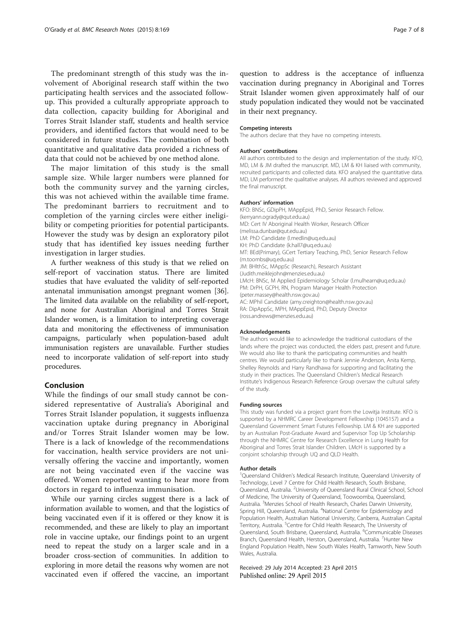The predominant strength of this study was the involvement of Aboriginal research staff within the two participating health services and the associated followup. This provided a culturally appropriate approach to data collection, capacity building for Aboriginal and Torres Strait Islander staff, students and health service providers, and identified factors that would need to be considered in future studies. The combination of both quantitative and qualitative data provided a richness of data that could not be achieved by one method alone.

The major limitation of this study is the small sample size. While larger numbers were planned for both the community survey and the yarning circles, this was not achieved within the available time frame. The predominant barriers to recruitment and to completion of the yarning circles were either ineligibility or competing priorities for potential participants. However the study was by design an exploratory pilot study that has identified key issues needing further investigation in larger studies.

A further weakness of this study is that we relied on self-report of vaccination status. There are limited studies that have evaluated the validity of self-reported antenatal immunisation amongst pregnant women [\[36](#page-8-0)]. The limited data available on the reliability of self-report, and none for Australian Aboriginal and Torres Strait Islander women, is a limitation to interpreting coverage data and monitoring the effectiveness of immunisation campaigns, particularly when population-based adult immunisation registers are unavailable. Further studies need to incorporate validation of self-report into study procedures.

#### Conclusion

While the findings of our small study cannot be considered representative of Australia's Aboriginal and Torres Strait Islander population, it suggests influenza vaccination uptake during pregnancy in Aboriginal and/or Torres Strait Islander women may be low. There is a lack of knowledge of the recommendations for vaccination, health service providers are not universally offering the vaccine and importantly, women are not being vaccinated even if the vaccine was offered. Women reported wanting to hear more from doctors in regard to influenza immunisation.

While our yarning circles suggest there is a lack of information available to women, and that the logistics of being vaccinated even if it is offered or they know it is recommended, and these are likely to play an important role in vaccine uptake, our findings point to an urgent need to repeat the study on a larger scale and in a broader cross-section of communities. In addition to exploring in more detail the reasons why women are not vaccinated even if offered the vaccine, an important

question to address is the acceptance of influenza vaccination during pregnancy in Aboriginal and Torres Strait Islander women given approximately half of our study population indicated they would not be vaccinated in their next pregnancy.

#### Competing interests

The authors declare that they have no competing interests.

#### Authors' contributions

All authors contributed to the design and implementation of the study. KFO, MD, LM & JM drafted the manuscript. MD, LM & KH liaised with community, recruited participants and collected data. KFO analysed the quantitative data. MD, LM performed the qualitative analyses. All authors reviewed and approved the final manuscript.

#### Authors' information

KFO: BNSc, GDipPH, MAppEpid, PhD, Senior Research Fellow. (kerryann.ogrady@qut.edu.au) MD: Cert IV Aboriginal Health Worker, Research Officer (melissa.dunbar@qut.edu.au) LM: PhD Candidate (l.medlin@uq.edu.au) KH: PhD Candidate (k.hall7@uq.edu.au) MT: BEd(Primary), GCert Tertiary Teaching, PhD, Senior Research Fellow (m.toombs@uq.edu.au) JM: BHlthSc, MAppSc (Research), Research Assistant (Judith.meiklejohn@menzies.edu.au) LMcH: BNSc, M Applied Epidemiology Scholar (l.mulhearn@uq.edu.au) PM: DrPH, GCPH, RN, Program Manager Health Protection (peter.massey@health.nsw.gov.au) AC: MPhil Candidate (amy.creighton@health.nsw.gov.au) RA: DipAppSc, MPH, MAppEpid, PhD, Deputy Director (ross.andrews@menzies.edu.au)

#### Acknowledgements

The authors would like to acknowledge the traditional custodians of the lands where the project was conducted, the elders past, present and future. We would also like to thank the participating communities and health centres. We would particularly like to thank Jennie Anderson, Anita Kemp, Shelley Reynolds and Harry Randhawa for supporting and facilitating the study in their practices. The Queensland Children's Medical Research Institute's Indigenous Research Reference Group oversaw the cultural safety of the study.

#### Funding sources

This study was funded via a project grant from the Lowitja Institute. KFO is supported by a NHMRC Career Development Fellowship (1045157) and a Queensland Government Smart Futures Fellowship. LM & KH are supported by an Australian Post-Graduate Award and Supervisor Top Up Scholarship through the NHMRC Centre for Research Excellence in Lung Health for Aboriginal and Torres Strait Islander Children. LMcH is supported by a conjoint scholarship through UQ and QLD Health.

#### Author details

<sup>1</sup>Queensland Children's Medical Research Institute, Queensland University of Technology, Level 7 Centre for Child Health Research, South Brisbane, Queensland, Australia. <sup>2</sup>University of Queensland Rural Clinical School, School of Medicine, The University of Queensland, Toowoomba, Queensland, Australia. <sup>3</sup>Menzies School of Health Research, Charles Darwin University Spring Hill, Queensland, Australia. <sup>4</sup>National Centre for Epidemiology and Population Health, Australian National University, Canberra, Australian Capital Territory, Australia. <sup>5</sup> Centre for Child Health Research, The University of Queensland, South Brisbane, Queensland, Australia. <sup>6</sup>Communicable Diseases Branch, Queensland Health, Herston, Queensland, Australia. <sup>7</sup>Hunter New England Population Health, New South Wales Health, Tamworth, New South Wales, Australia.

Received: 29 July 2014 Accepted: 23 April 2015 Published online: 29 April 2015